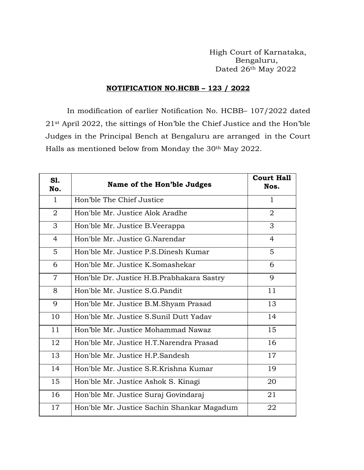High Court of Karnataka, Bengaluru, Dated 26th May 2022

## **NOTIFICATION NO.HCBB – 123 / 2022**

In modification of earlier Notification No. HCBB– 107/2022 dated st April 2022, the sittings of Hon'ble the Chief Justice and the Hon'ble Judges in the Principal Bench at Bengaluru are arranged in the Court Halls as mentioned below from Monday the 30<sup>th</sup> May 2022.

| S1.<br>No.     | Name of the Hon'ble Judges                 | <b>Court Hall</b><br>Nos. |
|----------------|--------------------------------------------|---------------------------|
| $\mathbf{1}$   | Hon'ble The Chief Justice                  | $\mathbf{1}$              |
| $\overline{2}$ | Hon'ble Mr. Justice Alok Aradhe            | $\overline{2}$            |
| 3              | Hon'ble Mr. Justice B.Veerappa             | 3                         |
| $\overline{4}$ | Hon'ble Mr. Justice G.Narendar             | 4                         |
| 5              | Hon'ble Mr. Justice P.S.Dinesh Kumar       | 5                         |
| 6              | Hon'ble Mr. Justice K.Somashekar           | 6                         |
| $\overline{7}$ | Hon'ble Dr. Justice H.B.Prabhakara Sastry  | 9                         |
| 8              | Hon'ble Mr. Justice S.G. Pandit            | 11                        |
| 9              | Hon'ble Mr. Justice B.M.Shyam Prasad       | 13                        |
| 10             | Hon'ble Mr. Justice S.Sunil Dutt Yaday     | 14                        |
| 11             | Hon'ble Mr. Justice Mohammad Nawaz         | 15                        |
| 12             | Hon'ble Mr. Justice H.T.Narendra Prasad    | 16                        |
| 13             | Hon'ble Mr. Justice H.P.Sandesh            | 17                        |
| 14             | Hon'ble Mr. Justice S.R.Krishna Kumar      | 19                        |
| 15             | Hon'ble Mr. Justice Ashok S. Kinagi        | 20                        |
| 16             | Hon'ble Mr. Justice Suraj Govindaraj       | 21                        |
| 17             | Hon'ble Mr. Justice Sachin Shankar Magadum | 22                        |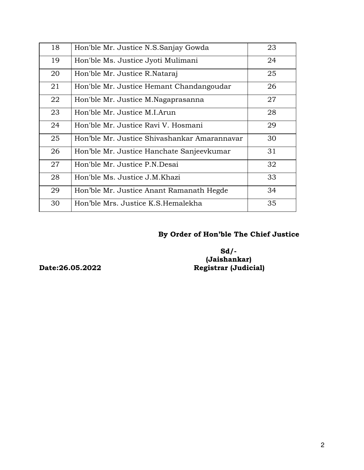| 18 | Hon'ble Mr. Justice N.S.Sanjay Gowda         | 23 |
|----|----------------------------------------------|----|
| 19 | Hon'ble Ms. Justice Jyoti Mulimani           | 24 |
| 20 | Hon'ble Mr. Justice R. Nataraj               | 25 |
| 21 | Hon'ble Mr. Justice Hemant Chandangoudar     | 26 |
| 22 | Hon'ble Mr. Justice M. Nagaprasanna          | 27 |
| 23 | Hon'ble Mr. Justice M.I.Arun                 | 28 |
| 24 | Hon'ble Mr. Justice Ravi V. Hosmani          | 29 |
| 25 | Hon'ble Mr. Justice Shivashankar Amarannavar | 30 |
| 26 | Hon'ble Mr. Justice Hanchate Sanjeevkumar    | 31 |
| 27 | Hon'ble Mr. Justice P.N.Desai                | 32 |
| 28 | Hon'ble Ms. Justice J.M.Khazi                | 33 |
| 29 | Hon'ble Mr. Justice Anant Ramanath Hegde     | 34 |
| 30 | Hon'ble Mrs. Justice K.S. Hemalekha          | 35 |

## **By Order of Hon'ble The Chief Justice**

 **Sd/- (Jaishankar) Date:26.05.2022 Registrar (Judicial)**